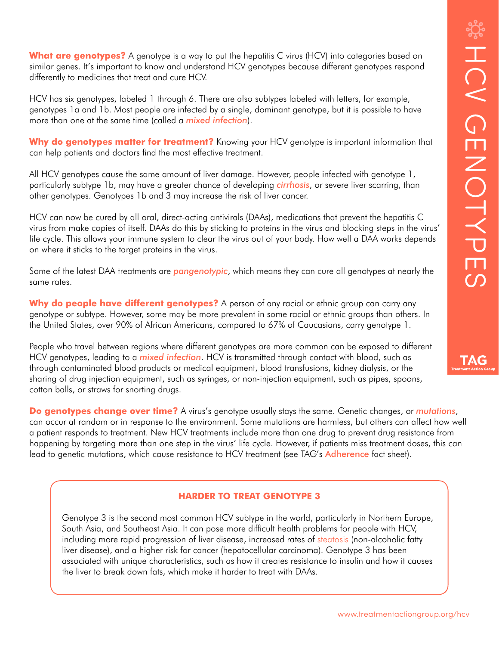TAG

What are genotypes? A genotype is a way to put the hepatitis C virus (HCV) into categories based on similar genes. It's important to know and understand HCV genotypes because different genotypes respond differently to medicines that treat and cure HCV.

HCV has six genotypes, labeled 1 through 6. There are also subtypes labeled with letters, for example, genotypes 1a and 1b. Most people are infected by a single, dominant genotype, but it is possible to have more than one at the same time (called a *mixed infection*).

**Why do genotypes matter for treatment?** Knowing your HCV genotype is important information that can help patients and doctors find the most effective treatment.

All HCV genotypes cause the same amount of liver damage. However, people infected with genotype 1, particularly subtype 1b, may have a greater chance of developing *cirrhosis*, or severe liver scarring, than other genotypes. Genotypes 1b and 3 may increase the risk of liver cancer.

HCV can now be cured by all oral, direct-acting antivirals (DAAs), medications that prevent the hepatitis C virus from make copies of itself. DAAs do this by sticking to proteins in the virus and blocking steps in the virus' life cycle. This allows your immune system to clear the virus out of your body. How well a DAA works depends on where it sticks to the target proteins in the virus.

Some of the latest DAA treatments are *pangenotypic*, which means they can cure all genotypes at nearly the same rates.

**Why do people have different genotypes?** A person of any racial or ethnic group can carry any genotype or subtype. However, some may be more prevalent in some racial or ethnic groups than others. In the United States, over 90% of African Americans, compared to 67% of Caucasians, carry genotype 1.

People who travel between regions where different genotypes are more common can be exposed to different HCV genotypes, leading to a *mixed infection*. HCV is transmitted through contact with blood, such as through contaminated blood products or medical equipment, blood transfusions, kidney dialysis, or the sharing of drug injection equipment, such as syringes, or non-injection equipment, such as pipes, spoons, cotton balls, or straws for snorting drugs.

**Do genotypes change over time?** A virus's genotype usually stays the same. Genetic changes, or *mutations*, can occur at random or in response to the environment. Some mutations are harmless, but others can affect how well a patient responds to treatment. New HCV treatments include more than one drug to prevent drug resistance from happening by targeting more than one step in the virus' life cycle. However, if patients miss treatment doses, this can lead to genetic mutations, which cause resistance to HCV treatment (see TAG's [Adherence](http://www.treatmentactiongroup.org/hcv/factsheets/adherence) fact sheet).

## **HARDER TO TREAT GENOTYPE 3**

Genotype 3 is the second most common HCV subtype in the world, particularly in Northern Europe, South Asia, and Southeast Asia. It can pose more difficult health problems for people with HCV, including more rapid progression of liver disease, increased rates of steatosis (non-alcoholic fatty liver disease), and a higher risk for cancer (hepatocellular carcinoma). Genotype 3 has been associated with unique characteristics, such as how it creates resistance to insulin and how it causes the liver to break down fats, which make it harder to treat with DAAs.